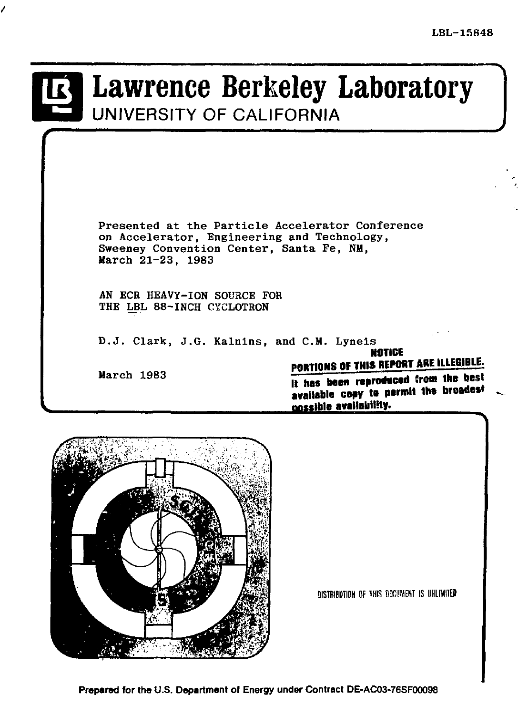# Lawrence Berkeley Laboratory UNIVERSITY OF CALIFORNIA

Presented at the Particle Accelerator Conference on Accelerator, Engineering and Technology, Sweeney Convention Center, Santa Fe, NM, March 21-23, 1983

AN ECR HEAVY-ION SOURCE FOR THE LBL 88-INCH CYCLOTRON

D.J. Clark, J.G. Kalnins, and C.M. Lyneis **NOTICE** 

March 1983

PORTIONS OF THIS REPORT ARE ILLEGIBLE.

It has been reproduced from the best available cosy to permit the broadest possible availability.



DISTRIBUTION OF THIS DOCUMENT IS UNLIMITED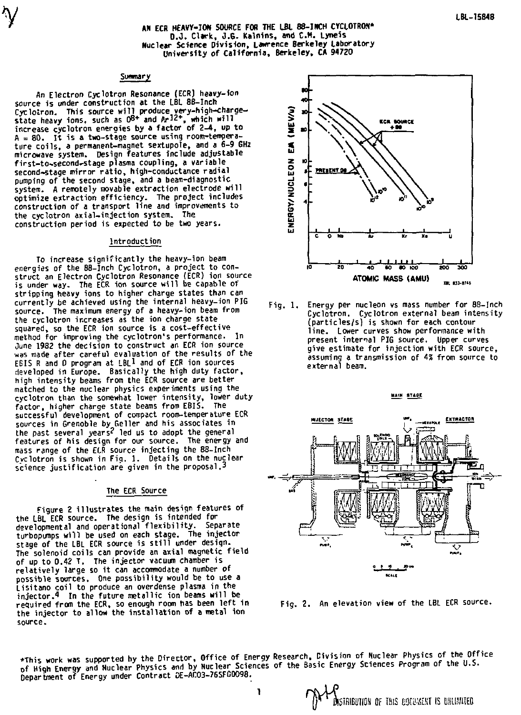# AN ECR HEAVY-ION SOURCE FOR THE LBL 88-INCH CYCLOTRON\* **O.J. Clark, J.G. Kalnins, and CM. Lyneis**  Nuclear Science Division, Lawrence Berkeley Laboratory University of California, Berkeley, CA 94720

# Summary

An Electron Cyclotron Resonance (ECR) heavy-ion source is under construction at the LBL 88-Inch Cyclotron. This source will produce very-high-charge-<br>state heavy ions, such as O<sup>g+</sup> and Ar<sup>12+</sup>, which will increase cyclotron energies by a factor of 2-4, up to  $A = 80$ . It is a two-stage source using room-temperature coils, a permanent-magnet sextupole, and a 6-9 GHz microwave system. Design features include adjustable first-to-second-stage plasma coupling, a variable second-stage mirror ratio , high-conductance radial pumping of the second stage, and a beam-d1agnostic system. A remotely movable extraction electrode will optimize extraction efficiency. The project includes construction of a transport line and improvements to the cyclotron axial-injection system. The construction period is expected to be two years.

#### **Introduction**

To increase significantly the heavy-ion beam energies of the 88-Inch Cyclotron, a project to con-struct an Electron Cyclotron Resonance (ECR) ion source is under way. The ECR ion source will be capable of stripping heavy ions to higher charge states than can currently be achieved using the internal heavy-ion PIG source. The maximum energy of a heavy-ion beam from the cyclotron increases as the ion charge state squared, so the ECR ion source is a cost-effective method for improving the cyclotron's performance. In June 1982 the decision to construct an ECR ion source was made after careful evaluation of the results of the FBIS R and D program at LBL  $^1$  and of ECR ion sources developed in Europe. Basically the high duty factor, high intensity beams from the ECR source are better matched to the nuclear physics experiments using the cyclotron than the somewhat lower intensity, lower duty factor, higher charge state beams from EBIS. The successful development of compact room-temperature ECR sources in Grenoble by Geller and his associates in the past several years? led us to adopt the general features of his design for our source. The energy and mass range of the ECR source injecting the 88-Inch Cyclotron is shown in Fig. 1. Details on the nuclear science justification are given in the proposal.<sup>3</sup>

#### The ECR Source

Figure 2 illustrates the main design features of the LBL ECR source. The design is intended for developmental and operational flexibility. Separate turbopumps will be used on each stage. The injector stage of the LBL ECR source is still under design. The solenoid coils can provide an axial magnetic field of up to 0.42 T. The injector vacuum chamber is relatively large so it can accommodate a number of possible sources. One possibility would be to use a Lisitano coil to produce an overdense plasma in the injector.4 in the future metallic ion beams wil l be required from the ECR, so enough room has been left in the injector to allow the installation of a metal ion source.



Fig. 1. Energy per nucleon vs mass number for 88-Inch Cyclotron. Cyclotron external beam intensity (particles/s) is shown for each contour line. Lower curves show performance with present internal PIG source. Upper curves give estimate for injection with ECR source, assuming a transmission of 4S from source to external beam.

MAIN STAGE





\*This work was supported by the Director, Office of Energy Research, Division of Nuclear Physics of the Office of High Energy and Nuclear Physics and by Nuclear Sciences of the Basic Energy Sciences Program of the U.S. Department of Energy under Contract DE-AC03-76SF00098.

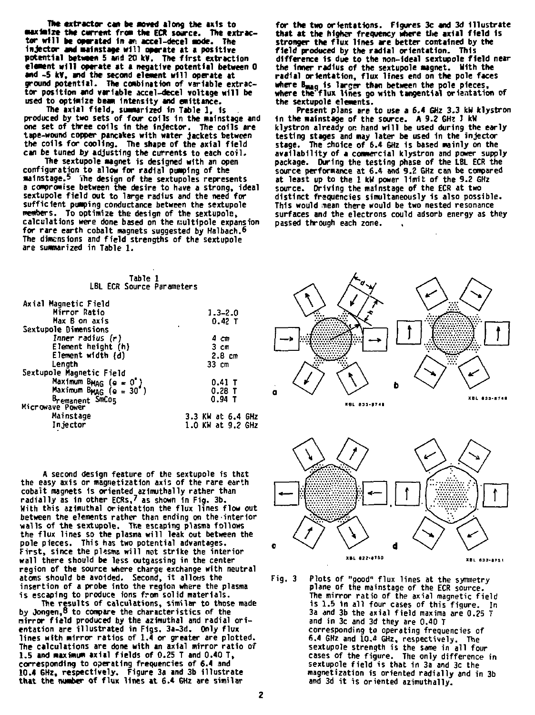**Hit extractor can be moved along the axis to**  maximize the current from the ECR source. The extrac-<br>tor will be operated in an accel-decel mode. The **injector and malnstage will operate at a positive potential between 5 and 20 kv. The first extraction elaaent will operate at a negative potential between 0 and -5 kv, and the second element will operate at ground potential. The combination of variable extractor position and variable accel-decel voltage will be used to optimize beam Intensity and emittanee.** 

**The axial field, summarized In Table 1 , is produced by two sets of four coils in the malnstage and one set of three colls in the Injector. The coils are tape-wound copper pancakes with water jackets between the coils for cooling. The shape of the axial field** 

**can be tuned by adjusting the currents to each coil. The sextupole magnet is designed with an open configuration to allow for radial pumping of the mainstage.5 yhe design of the sextupoles represents a compromise between the desire to have a strong, ideal sextupole field out to large radius and the need for sufficient pumping conductance between the sextupole members. To optimize the design of the sextupole,**  calculations were done based on the multipole expansion **for rare earth cobalt magnets suggested by Halbach.6 The dimensions and field strengths of the sextupole are summarized in Table 1.** 

| for the two orientations. Figures 3c and 3d illustrate         |
|----------------------------------------------------------------|
| that at the higher frequency where the axial field is          |
| stronger the flux lines are better contained by the            |
| field produced by the radial orientation. This                 |
| difference is due to the non-ideal sextupole field near        |
| the inner radius of the sextupole magnet. With the             |
| radial orientation, flux lines end on the pole faces           |
| where B <sub>mag</sub> is larger than between the pole pieces, |
| where the flux lines go with tangential orientation of         |
| the sextupole elements.                                        |

**the sextupole elements. Present plans are to use a 6.4 GHz 3.3 kN klystron in the mainstage of the source. A 9.2 GHz 1 kW klystron already OR hand will be used during the early testing stages and may later be used in the injector stage. The choice of 6.4 GHz is based mainly on the availability of a commercial klystron and power supply package. During the testing phase of the LBL ECR the source performance at 6.4 and 9.2 GHz can be compared at least up to the 1 kW power limit of the 9.2 GHz source. Driving the malnstage of the ECR at two distinct frequencies simultaneously 1s also possible. This would mean there would be two nested resonance surfaces and the electrons could adsorb energy as they passed through each zone.** 

| Table 1                                         |                   |                     |
|-------------------------------------------------|-------------------|---------------------|
| LBL ECR Source Parameters                       |                   | $\sigma_{\infty}$   |
|                                                 |                   |                     |
| Axial Magnetic Field                            |                   |                     |
| Mirror Ratio                                    | $1.3 - 2.0$       |                     |
| Max B on axis                                   | $0.42$ T          |                     |
| Sextupole Dimensions                            |                   |                     |
| Inner radius (r)                                | 4 cm              |                     |
| Element height (h)                              | 3 cm              |                     |
| Element width (d)                               | 2.8cm             |                     |
| Length                                          | 33 cm             |                     |
| Sextupole Magnetic Field                        |                   |                     |
| Maximum BMAG (e = 0°)<br>Maximum BMAG (e = 30°) | $0.41$ T          |                     |
|                                                 | $0.28$ T          | a                   |
| Bremanent SmCos                                 | $0.94$ T          |                     |
| Microwave Power                                 |                   | <b>KBL 833-8748</b> |
| Mainstage                                       | 3.3 KW at 6.4 GHz |                     |
| In iector                                       | 1.0 KW at 9.2 GHz |                     |
|                                                 |                   |                     |

**A second design feature of the sextupole is that the easy axis or magnetization axis of the rare earth cobalt magnets is oriented azimuthally rather than radially as in other ECRs,' as shown in Fig. 3b. With this azimuthal orientation the flux lines flow out between the elements rather than ending on the-interior walls of the sextupole. The escaping plasma follows the flux lines so the plasma will leak out between the pole pieces. This has two potential advantages. First, since the plasms will not strike the interior wall there should be less outgassing in the center region of the source where charge exchange with neutral atoms should be avoided. Second, it allows the insertion of a probe into the region where the plasma is escaping to produce ions from solid materials.** 

**The results of calculations, similar to those made by Jongen,8 to compare the characteristics of the mirror field produced by the azimuthal and radial ori-entation are illustrated in Figs. 3a-3d. Only flux lines with mirror ratios of 1.4 or greater are plotted. The calculations are done with an axial mirror ratio of 1.5 and maximum axial fields of 0.25 T and 0.40 T, corresponding to operating frequencies of 6.4 and 10.4 GHz, respectively. Figure 3a and 3b illustrate that the number of flux lines at 6.4 6Hz are similar** 





**Tig. 3 Plots of "good" flux lines at the symmetry plane of the mainstage of the ECR source. The mirror ratio of the axial magnetic field is 1.6 in all four cases of this figure. In 3a and 3b the axial field maxima are 0.25 T and in 3c and 3d they are 0.40 T corresponding to operating frequencies of 6.4 GHz and 10.4 6Hz, respectively. The sextupole strength is the same in all four cases of the figure. The only difference in sextupole field is that in 3a and 3c the magnetization is oriented radially and in 3b and 3d it is oriented azimuthally.**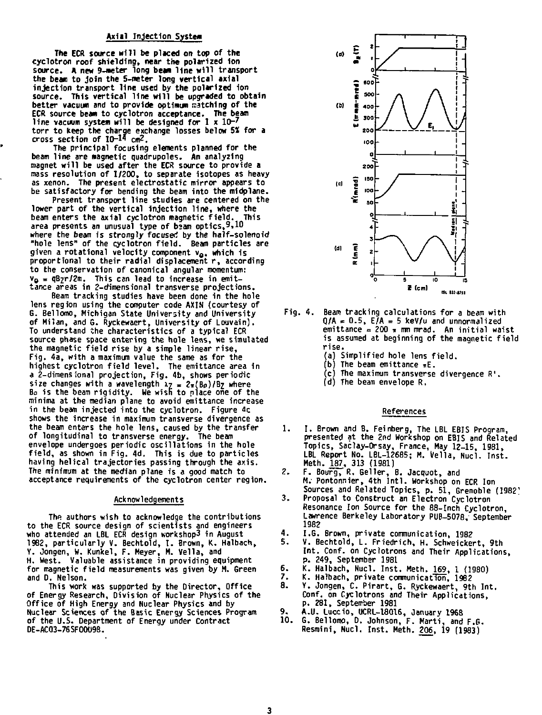# Axial Injection System

The ECR source will be placed on top of the cyclotron roof shielding, near the polarized ion source. A new 9-meter long bean line wil l transport the beam to join the 5-meter long vertical axial injection transport line used by the polarized ion source. This vertical line wil l be upgraded to obtain better vacuum and to provide optimum matching of the ECR source beam to cyclotron acceptance. The beam line vacuum system wil l be designed for 1 x 10-' torr to keep the charge exchange losses below 55! for a cross section of 10-1\* *cm2.* 

The principal focusing elements planned for the beam line are magnetic quadrupoles. An analyzing magnet will be used after the ECR source to provide a mass resolution of 1/200, to separate isotopes as heavy as xenon. The present electrostatic mirror appears to be satisfactory for bending the beam into the midplane.

Present transport line studies are centered on the lower part of the vertical injection line, where the beam enters the axial cyclotron magnetic field. This<br>area presents an unusual type of beam optics,<sup>9,10</sup> where the beam is strongly focused by the half-solenoid "hole lens" of the cyclotron field . Beam particles are given a rotational velocity component v<sub>o</sub>, which is<br>proportional to their radial displacement r, according to the conservation of canonical angular momentum:  $v_{\Omega} = \frac{qB}{2}r/2m$ . This can lead to increase in emittance areas in 2-dimensional transverse projections.

Beam tracking studies have been done in the hole lens region using the computer code AXIN (courtesy of G. Bellomo, Michigan State University and University of Milan, and G. Ryckewaert, University of Louvain). To understand the characteristics of a typical ECR source phase space entering the hole lens, we simulated the magnetic field rise by a simple linear rise, Fig. 4a, with a maximum value the same as for the highest cyclotron field level. The emittance area in a 2-dimens ional projection, Fig. 4b, shows periodic size changes with a wavelength  $x_7 = 2\pi (B\rho)/B_7$  where  $B\rho$  is the beam rigidity. We wish to place one of the minima at the median plane to avoid emittance increase in the beam injected into the cyclotron. Figure 4c shows the increase in maximum transverse divergence as the beam enters the hole lens, caused by the transfer of longitudinal to transverse energy. The beam envelope undergoes periodic oscillations in the hole field, as shown in Fig. 4d. This is due to particles having helical trajectories passing through the axis. The minimum at the median plane is a good match to acceptance requirements of the cyclotron center region.

#### Acknowledgements

The authors wish to acknowledge the contributions to the ECR source design of scientists and engineers who attended an LBL ECR design workshop3 in August 1982, particularly V. Bechtold, I. Brown, K. Halbach,<br>Y. Jongen, W. Kunkel, F. Meyer, M. Vella, and<br>H. West. Valuable assistance in providing equipment for magnetic field measurements was given by M. Green and D. Nelson.

This work was supported by the Director, Office of Energy Research, Division of Nuclear Physics of the Office of High Energy and Nuclear Physics and by Nuclear Sciences of the Basic Energy Sciences Program of the U.S. Department of Energy under Contract DE-AC03-76SF00U98.



- Fig. 4. Beam tracking calculations for a beam with  $0/A = 0.5$ ,  $E/A = 5$  keV/u and unnormalized  $emittance = 200$   $\pi$  mm mrad. An initial waist is assumed at beginning of the magnetic field rise.
	- (a) Simplified hole lens field .
	- (b) The beam emittance  $\pi E$ .
	- (c) The maximum transverse divergence R'.
	- (d) The beam envelope R.

#### References

- 1. 1. Brown and B. Feinberg, The LBL EBIS Program, presented at the 2nd Workshop on EBIS and Related Topics, Saclay-Orsay, France, Hay 12-15, 1981, LBL Report No. LBL-12685; M. Vella, Nucl. Inst. Meth. 187, 313 (1981)
- 2. F. Bourg, R. Gelter, B. Jacquot, and M. Pontonnier, 4th Intl . Workshop on ECR Ion Sources and Related Topics, p. 51, Grenoble (1982'
- 3. Proposal to Construct an Electron Cyclotron Resonance Ion Source for the 88-Inch Cyclotron, Lawrence Berkeley Laboratory PUB-5078. September 1982
- 4. I.G. Brown, private communication, 1982
- 5. V. Bechtold, L. Friedrich, H. Schweickert, 9th Int. Conf. on Cyclotrons and Their Applications, p. 249, September 1981
- 6. K. Halbach, Nucl. Inst. Meth. 169, 1 (1980)<br>7. K. Halbach, private communication, 1982
- 7. K. Halbach, private communication, 1982<br>8. X. Jongen, C. Pirart, G. Ryckewaert, 9th
- 8. Y. Jongen, C. Pirart, G. Ryckewaert, 9th Int. Conf. on Cyclotrons and Their Applications, p. 281, September 1981
- 
- 9. A.U. Luccio, UCRL-18016, January 1968 10. G. Bellomo, 0. Johnson, F. Narti, and F.G. Resmini, Nucl. Inst. Meth. 206, 19 (1983)